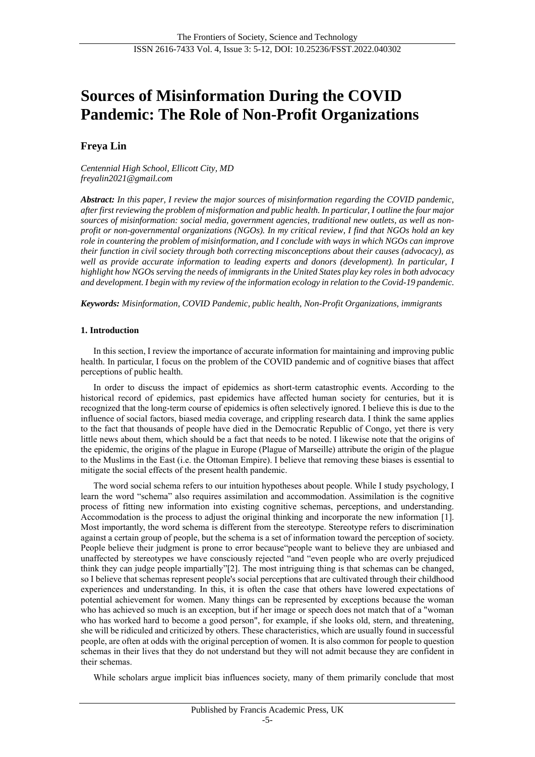# **Sources of Misinformation During the COVID Pandemic: The Role of Non-Profit Organizations**

# **Freya Lin**

*Centennial High School, Ellicott City, MD freyalin2021@gmail.com*

*Abstract: In this paper, I review the major sources of misinformation regarding the COVID pandemic, after first reviewing the problem of misformation and public health. In particular, I outline the four major sources of misinformation: social media, government agencies, traditional new outlets, as well as nonprofit or non-governmental organizations (NGOs). In my critical review, I find that NGOs hold an key role in countering the problem of misinformation, and I conclude with ways in which NGOs can improve their function in civil society through both correcting misconceptions about their causes (advocacy), as well as provide accurate information to leading experts and donors (development). In particular, I highlight how NGOs serving the needs of immigrants in the United States play key roles in both advocacy and development. I begin with my review of the information ecology in relation to the Covid-19 pandemic.*

*Keywords: Misinformation, COVID Pandemic, public health, Non-Profit Organizations, immigrants*

#### **1. Introduction**

In this section, I review the importance of accurate information for maintaining and improving public health. In particular, I focus on the problem of the COVID pandemic and of cognitive biases that affect perceptions of public health.

In order to discuss the impact of epidemics as short-term catastrophic events. According to the historical record of epidemics, past epidemics have affected human society for centuries, but it is recognized that the long-term course of epidemics is often selectively ignored. I believe this is due to the influence of social factors, biased media coverage, and crippling research data. I think the same applies to the fact that thousands of people have died in the Democratic Republic of Congo, yet there is very little news about them, which should be a fact that needs to be noted. I likewise note that the origins of the epidemic, the origins of the plague in Europe (Plague of Marseille) attribute the origin of the plague to the Muslims in the East (i.e. the Ottoman Empire). I believe that removing these biases is essential to mitigate the social effects of the present health pandemic.

The word social schema refers to our intuition hypotheses about people. While I study psychology, I learn the word "schema" also requires assimilation and accommodation. Assimilation is the cognitive process of fitting new information into existing cognitive schemas, perceptions, and understanding. Accommodation is the process to adjust the original thinking and incorporate the new information [1]. Most importantly, the word schema is different from the stereotype. Stereotype refers to discrimination against a certain group of people, but the schema is a set of information toward the perception of society. People believe their judgment is prone to error because"people want to believe they are unbiased and unaffected by stereotypes we have consciously rejected "and "even people who are overly prejudiced think they can judge people impartially"[2]. The most intriguing thing is that schemas can be changed, so I believe that schemas represent people's social perceptions that are cultivated through their childhood experiences and understanding. In this, it is often the case that others have lowered expectations of potential achievement for women. Many things can be represented by exceptions because the woman who has achieved so much is an exception, but if her image or speech does not match that of a "woman who has worked hard to become a good person", for example, if she looks old, stern, and threatening, she will be ridiculed and criticized by others. These characteristics, which are usually found in successful people, are often at odds with the original perception of women. It is also common for people to question schemas in their lives that they do not understand but they will not admit because they are confident in their schemas.

While scholars argue implicit bias influences society, many of them primarily conclude that most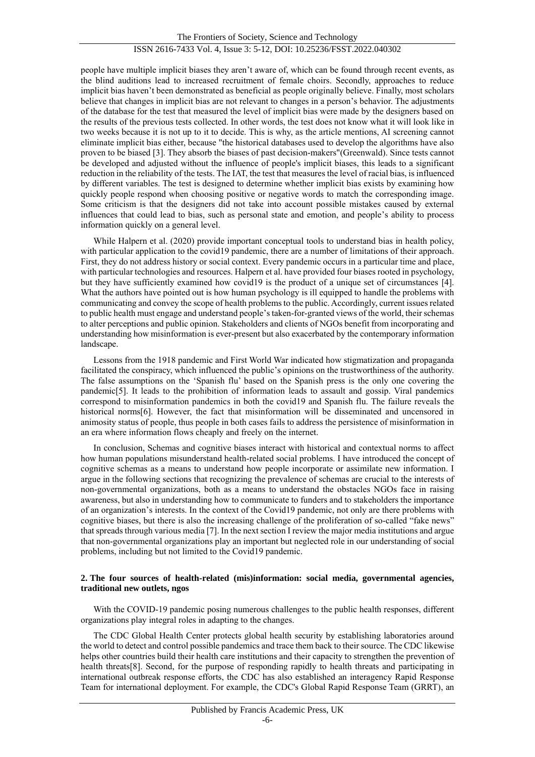people have multiple implicit biases they aren't aware of, which can be found through recent events, as the blind auditions lead to increased recruitment of female choirs. Secondly, approaches to reduce implicit bias haven't been demonstrated as beneficial as people originally believe. Finally, most scholars believe that changes in implicit bias are not relevant to changes in a person's behavior. The adjustments of the database for the test that measured the level of implicit bias were made by the designers based on the results of the previous tests collected. In other words, the test does not know what it will look like in two weeks because it is not up to it to decide. This is why, as the article mentions, AI screening cannot eliminate implicit bias either, because "the historical databases used to develop the algorithms have also proven to be biased [3]. They absorb the biases of past decision-makers"(Greenwald). Since tests cannot be developed and adjusted without the influence of people's implicit biases, this leads to a significant reduction in the reliability of the tests. The IAT, the test that measures the level of racial bias, is influenced by different variables. The test is designed to determine whether implicit bias exists by examining how quickly people respond when choosing positive or negative words to match the corresponding image. Some criticism is that the designers did not take into account possible mistakes caused by external influences that could lead to bias, such as personal state and emotion, and people's ability to process information quickly on a general level.

While Halpern et al. (2020) provide important conceptual tools to understand bias in health policy, with particular application to the covid19 pandemic, there are a number of limitations of their approach. First, they do not address history or social context. Every pandemic occurs in a particular time and place, with particular technologies and resources. Halpern et al. have provided four biases rooted in psychology, but they have sufficiently examined how covid19 is the product of a unique set of circumstances [4]. What the authors have pointed out is how human psychology is ill equipped to handle the problems with communicating and convey the scope of health problems to the public. Accordingly, current issues related to public health must engage and understand people's taken-for-granted views of the world, their schemas to alter perceptions and public opinion. Stakeholders and clients of NGOs benefit from incorporating and understanding how misinformation is ever-present but also exacerbated by the contemporary information landscape.

Lessons from the 1918 pandemic and First World War indicated how stigmatization and propaganda facilitated the conspiracy, which influenced the public's opinions on the trustworthiness of the authority. The false assumptions on the 'Spanish flu' based on the Spanish press is the only one covering the pandemic[5]. It leads to the prohibition of information leads to assault and gossip. Viral pandemics correspond to misinformation pandemics in both the covid19 and Spanish flu. The failure reveals the historical norms[6]. However, the fact that misinformation will be disseminated and uncensored in animosity status of people, thus people in both cases fails to address the persistence of misinformation in an era where information flows cheaply and freely on the internet.

In conclusion, Schemas and cognitive biases interact with historical and contextual norms to affect how human populations misunderstand health-related social problems. I have introduced the concept of cognitive schemas as a means to understand how people incorporate or assimilate new information. I argue in the following sections that recognizing the prevalence of schemas are crucial to the interests of non-governmental organizations, both as a means to understand the obstacles NGOs face in raising awareness, but also in understanding how to communicate to funders and to stakeholders the importance of an organization's interests. In the context of the Covid19 pandemic, not only are there problems with cognitive biases, but there is also the increasing challenge of the proliferation of so-called "fake news" that spreads through various media [7]. In the next section I review the major media institutions and argue that non-governmental organizations play an important but neglected role in our understanding of social problems, including but not limited to the Covid19 pandemic.

#### **2. The four sources of health-related (mis)information: social media, governmental agencies, traditional new outlets, ngos**

With the COVID-19 pandemic posing numerous challenges to the public health responses, different organizations play integral roles in adapting to the changes.

The CDC Global Health Center protects global health security by establishing laboratories around the world to detect and control possible pandemics and trace them back to their source. The CDC likewise helps other countries build their health care institutions and their capacity to strengthen the prevention of health threats[8]. Second, for the purpose of responding rapidly to health threats and participating in international outbreak response efforts, the CDC has also established an interagency Rapid Response Team for international deployment. For example, the CDC's Global Rapid Response Team (GRRT), an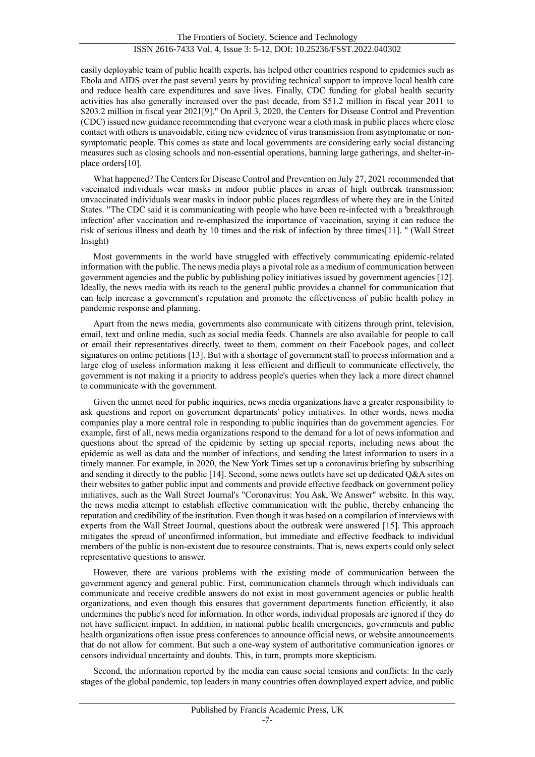easily deployable team of public health experts, has helped other countries respond to epidemics such as Ebola and AIDS over the past several years by providing technical support to improve local health care and reduce health care expenditures and save lives. Finally, CDC funding for global health security activities has also generally increased over the past decade, from \$51.2 million in fiscal year 2011 to \$203.2 million in fiscal year 2021[9]." On April 3, 2020, the Centers for Disease Control and Prevention (CDC) issued new guidance recommending that everyone wear a cloth mask in public places where close contact with others is unavoidable, citing new evidence of virus transmission from asymptomatic or nonsymptomatic people. This comes as state and local governments are considering early social distancing measures such as closing schools and non-essential operations, banning large gatherings, and shelter-inplace orders[10].

What happened? The Centers for Disease Control and Prevention on July 27, 2021 recommended that vaccinated individuals wear masks in indoor public places in areas of high outbreak transmission; unvaccinated individuals wear masks in indoor public places regardless of where they are in the United States. "The CDC said it is communicating with people who have been re-infected with a 'breakthrough infection' after vaccination and re-emphasized the importance of vaccination, saying it can reduce the risk of serious illness and death by 10 times and the risk of infection by three times[11]. " (Wall Street Insight)

Most governments in the world have struggled with effectively communicating epidemic-related information with the public. The news media plays a pivotal role as a medium of communication between government agencies and the public by publishing policy initiatives issued by government agencies [12]. Ideally, the news media with its reach to the general public provides a channel for communication that can help increase a government's reputation and promote the effectiveness of public health policy in pandemic response and planning.

Apart from the news media, governments also communicate with citizens through print, television, email, text and online media, such as social media feeds. Channels are also available for people to call or email their representatives directly, tweet to them, comment on their Facebook pages, and collect signatures on online petitions [13]. But with a shortage of government staff to process information and a large clog of useless information making it less efficient and difficult to communicate effectively, the government is not making it a priority to address people's queries when they lack a more direct channel to communicate with the government.

Given the unmet need for public inquiries, news media organizations have a greater responsibility to ask questions and report on government departments' policy initiatives. In other words, news media companies play a more central role in responding to public inquiries than do government agencies. For example, first of all, news media organizations respond to the demand for a lot of news information and questions about the spread of the epidemic by setting up special reports, including news about the epidemic as well as data and the number of infections, and sending the latest information to users in a timely manner. For example, in 2020, the New York Times set up a coronavirus briefing by subscribing and sending it directly to the public [14]. Second, some news outlets have set up dedicated Q&A sites on their websites to gather public input and comments and provide effective feedback on government policy initiatives, such as the Wall Street Journal's "Coronavirus: You Ask, We Answer" website. In this way, the news media attempt to establish effective communication with the public, thereby enhancing the reputation and credibility of the institution. Even though it was based on a compilation of interviews with experts from the Wall Street Journal, questions about the outbreak were answered [15]. This approach mitigates the spread of unconfirmed information, but immediate and effective feedback to individual members of the public is non-existent due to resource constraints. That is, news experts could only select representative questions to answer.

However, there are various problems with the existing mode of communication between the government agency and general public. First, communication channels through which individuals can communicate and receive credible answers do not exist in most government agencies or public health organizations, and even though this ensures that government departments function efficiently, it also undermines the public's need for information. In other words, individual proposals are ignored if they do not have sufficient impact. In addition, in national public health emergencies, governments and public health organizations often issue press conferences to announce official news, or website announcements that do not allow for comment. But such a one-way system of authoritative communication ignores or censors individual uncertainty and doubts. This, in turn, prompts more skepticism.

Second, the information reported by the media can cause social tensions and conflicts: In the early stages of the global pandemic, top leaders in many countries often downplayed expert advice, and public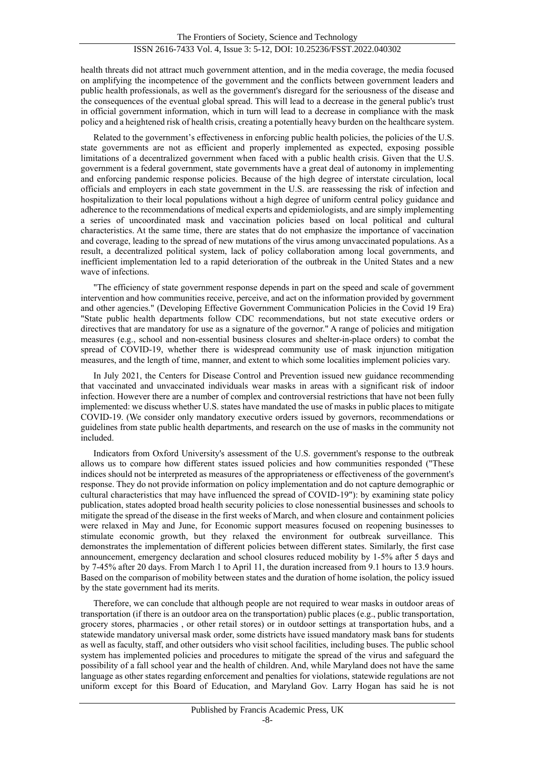health threats did not attract much government attention, and in the media coverage, the media focused on amplifying the incompetence of the government and the conflicts between government leaders and public health professionals, as well as the government's disregard for the seriousness of the disease and the consequences of the eventual global spread. This will lead to a decrease in the general public's trust in official government information, which in turn will lead to a decrease in compliance with the mask policy and a heightened risk of health crisis, creating a potentially heavy burden on the healthcare system.

Related to the government's effectiveness in enforcing public health policies, the policies of the U.S. state governments are not as efficient and properly implemented as expected, exposing possible limitations of a decentralized government when faced with a public health crisis. Given that the U.S. government is a federal government, state governments have a great deal of autonomy in implementing and enforcing pandemic response policies. Because of the high degree of interstate circulation, local officials and employers in each state government in the U.S. are reassessing the risk of infection and hospitalization to their local populations without a high degree of uniform central policy guidance and adherence to the recommendations of medical experts and epidemiologists, and are simply implementing a series of uncoordinated mask and vaccination policies based on local political and cultural characteristics. At the same time, there are states that do not emphasize the importance of vaccination and coverage, leading to the spread of new mutations of the virus among unvaccinated populations. As a result, a decentralized political system, lack of policy collaboration among local governments, and inefficient implementation led to a rapid deterioration of the outbreak in the United States and a new wave of infections.

"The efficiency of state government response depends in part on the speed and scale of government intervention and how communities receive, perceive, and act on the information provided by government and other agencies." (Developing Effective Government Communication Policies in the Covid 19 Era) "State public health departments follow CDC recommendations, but not state executive orders or directives that are mandatory for use as a signature of the governor." A range of policies and mitigation measures (e.g., school and non-essential business closures and shelter-in-place orders) to combat the spread of COVID-19, whether there is widespread community use of mask injunction mitigation measures, and the length of time, manner, and extent to which some localities implement policies vary.

In July 2021, the Centers for Disease Control and Prevention issued new guidance recommending that vaccinated and unvaccinated individuals wear masks in areas with a significant risk of indoor infection. However there are a number of complex and controversial restrictions that have not been fully implemented: we discuss whether U.S. states have mandated the use of masks in public places to mitigate COVID-19. (We consider only mandatory executive orders issued by governors, recommendations or guidelines from state public health departments, and research on the use of masks in the community not included.

Indicators from Oxford University's assessment of the U.S. government's response to the outbreak allows us to compare how different states issued policies and how communities responded ("These indices should not be interpreted as measures of the appropriateness or effectiveness of the government's response. They do not provide information on policy implementation and do not capture demographic or cultural characteristics that may have influenced the spread of COVID-19"): by examining state policy publication, states adopted broad health security policies to close nonessential businesses and schools to mitigate the spread of the disease in the first weeks of March, and when closure and containment policies were relaxed in May and June, for Economic support measures focused on reopening businesses to stimulate economic growth, but they relaxed the environment for outbreak surveillance. This demonstrates the implementation of different policies between different states. Similarly, the first case announcement, emergency declaration and school closures reduced mobility by 1-5% after 5 days and by 7-45% after 20 days. From March 1 to April 11, the duration increased from 9.1 hours to 13.9 hours. Based on the comparison of mobility between states and the duration of home isolation, the policy issued by the state government had its merits.

Therefore, we can conclude that although people are not required to wear masks in outdoor areas of transportation (if there is an outdoor area on the transportation) public places (e.g., public transportation, grocery stores, pharmacies , or other retail stores) or in outdoor settings at transportation hubs, and a statewide mandatory universal mask order, some districts have issued mandatory mask bans for students as well as faculty, staff, and other outsiders who visit school facilities, including buses. The public school system has implemented policies and procedures to mitigate the spread of the virus and safeguard the possibility of a fall school year and the health of children. And, while Maryland does not have the same language as other states regarding enforcement and penalties for violations, statewide regulations are not uniform except for this Board of Education, and Maryland Gov. Larry Hogan has said he is not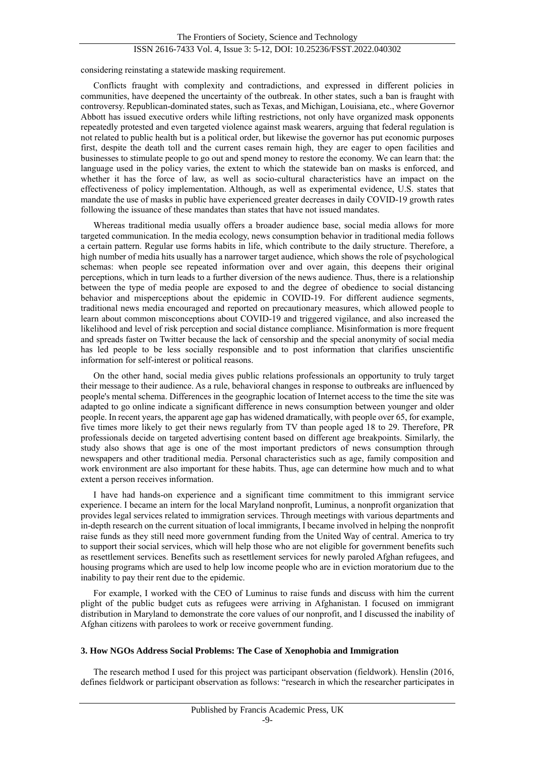considering reinstating a statewide masking requirement.

Conflicts fraught with complexity and contradictions, and expressed in different policies in communities, have deepened the uncertainty of the outbreak. In other states, such a ban is fraught with controversy. Republican-dominated states, such as Texas, and Michigan, Louisiana, etc., where Governor Abbott has issued executive orders while lifting restrictions, not only have organized mask opponents repeatedly protested and even targeted violence against mask wearers, arguing that federal regulation is not related to public health but is a political order, but likewise the governor has put economic purposes first, despite the death toll and the current cases remain high, they are eager to open facilities and businesses to stimulate people to go out and spend money to restore the economy. We can learn that: the language used in the policy varies, the extent to which the statewide ban on masks is enforced, and whether it has the force of law, as well as socio-cultural characteristics have an impact on the effectiveness of policy implementation. Although, as well as experimental evidence, U.S. states that mandate the use of masks in public have experienced greater decreases in daily COVID-19 growth rates following the issuance of these mandates than states that have not issued mandates.

Whereas traditional media usually offers a broader audience base, social media allows for more targeted communication. In the media ecology, news consumption behavior in traditional media follows a certain pattern. Regular use forms habits in life, which contribute to the daily structure. Therefore, a high number of media hits usually has a narrower target audience, which shows the role of psychological schemas: when people see repeated information over and over again, this deepens their original perceptions, which in turn leads to a further diversion of the news audience. Thus, there is a relationship between the type of media people are exposed to and the degree of obedience to social distancing behavior and misperceptions about the epidemic in COVID-19. For different audience segments, traditional news media encouraged and reported on precautionary measures, which allowed people to learn about common misconceptions about COVID-19 and triggered vigilance, and also increased the likelihood and level of risk perception and social distance compliance. Misinformation is more frequent and spreads faster on Twitter because the lack of censorship and the special anonymity of social media has led people to be less socially responsible and to post information that clarifies unscientific information for self-interest or political reasons.

On the other hand, social media gives public relations professionals an opportunity to truly target their message to their audience. As a rule, behavioral changes in response to outbreaks are influenced by people's mental schema. Differences in the geographic location of Internet access to the time the site was adapted to go online indicate a significant difference in news consumption between younger and older people. In recent years, the apparent age gap has widened dramatically, with people over 65, for example, five times more likely to get their news regularly from TV than people aged 18 to 29. Therefore, PR professionals decide on targeted advertising content based on different age breakpoints. Similarly, the study also shows that age is one of the most important predictors of news consumption through newspapers and other traditional media. Personal characteristics such as age, family composition and work environment are also important for these habits. Thus, age can determine how much and to what extent a person receives information.

I have had hands-on experience and a significant time commitment to this immigrant service experience. I became an intern for the local Maryland nonprofit, Luminus, a nonprofit organization that provides legal services related to immigration services. Through meetings with various departments and in-depth research on the current situation of local immigrants, I became involved in helping the nonprofit raise funds as they still need more government funding from the United Way of central. America to try to support their social services, which will help those who are not eligible for government benefits such as resettlement services. Benefits such as resettlement services for newly paroled Afghan refugees, and housing programs which are used to help low income people who are in eviction moratorium due to the inability to pay their rent due to the epidemic.

For example, I worked with the CEO of Luminus to raise funds and discuss with him the current plight of the public budget cuts as refugees were arriving in Afghanistan. I focused on immigrant distribution in Maryland to demonstrate the core values of our nonprofit, and I discussed the inability of Afghan citizens with parolees to work or receive government funding.

#### **3. How NGOs Address Social Problems: The Case of Xenophobia and Immigration**

The research method I used for this project was participant observation (fieldwork). Henslin (2016, defines fieldwork or participant observation as follows: "research in which the researcher participates in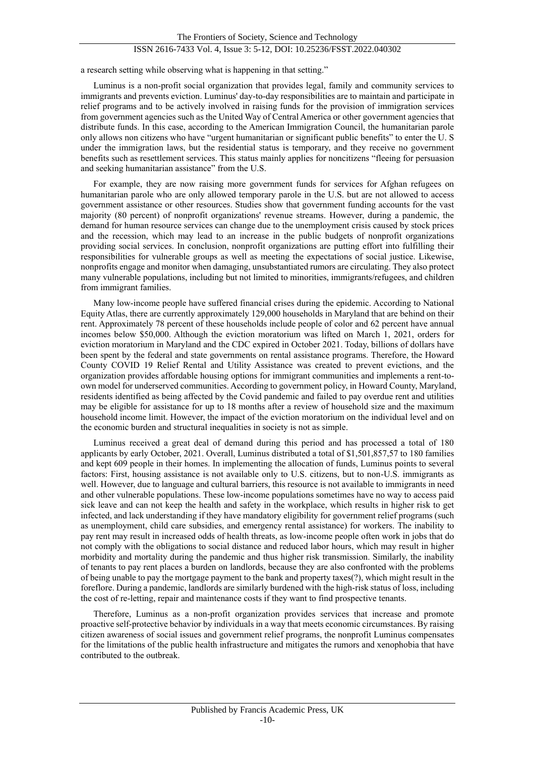a research setting while observing what is happening in that setting."

Luminus is a non-profit social organization that provides legal, family and community services to immigrants and prevents eviction. Luminus' day-to-day responsibilities are to maintain and participate in relief programs and to be actively involved in raising funds for the provision of immigration services from government agencies such as the United Way of Central America or other government agencies that distribute funds. In this case, according to the American Immigration Council, the humanitarian parole only allows non citizens who have "urgent humanitarian or significant public benefits" to enter the U. S under the immigration laws, but the residential status is temporary, and they receive no government benefits such as resettlement services. This status mainly applies for noncitizens "fleeing for persuasion and seeking humanitarian assistance" from the U.S.

For example, they are now raising more government funds for services for Afghan refugees on humanitarian parole who are only allowed temporary parole in the U.S. but are not allowed to access government assistance or other resources. Studies show that government funding accounts for the vast majority (80 percent) of nonprofit organizations' revenue streams. However, during a pandemic, the demand for human resource services can change due to the unemployment crisis caused by stock prices and the recession, which may lead to an increase in the public budgets of nonprofit organizations providing social services. In conclusion, nonprofit organizations are putting effort into fulfilling their responsibilities for vulnerable groups as well as meeting the expectations of social justice. Likewise, nonprofits engage and monitor when damaging, unsubstantiated rumors are circulating. They also protect many vulnerable populations, including but not limited to minorities, immigrants/refugees, and children from immigrant families.

Many low-income people have suffered financial crises during the epidemic. According to National Equity Atlas, there are currently approximately 129,000 households in Maryland that are behind on their rent. Approximately 78 percent of these households include people of color and 62 percent have annual incomes below \$50,000. Although the eviction moratorium was lifted on March 1, 2021, orders for eviction moratorium in Maryland and the CDC expired in October 2021. Today, billions of dollars have been spent by the federal and state governments on rental assistance programs. Therefore, the Howard County COVID 19 Relief Rental and Utility Assistance was created to prevent evictions, and the organization provides affordable housing options for immigrant communities and implements a rent-toown model for underserved communities. According to government policy, in Howard County, Maryland, residents identified as being affected by the Covid pandemic and failed to pay overdue rent and utilities may be eligible for assistance for up to 18 months after a review of household size and the maximum household income limit. However, the impact of the eviction moratorium on the individual level and on the economic burden and structural inequalities in society is not as simple.

Luminus received a great deal of demand during this period and has processed a total of 180 applicants by early October, 2021. Overall, Luminus distributed a total of \$1,501,857,57 to 180 families and kept 609 people in their homes. In implementing the allocation of funds, Luminus points to several factors: First, housing assistance is not available only to U.S. citizens, but to non-U.S. immigrants as well. However, due to language and cultural barriers, this resource is not available to immigrants in need and other vulnerable populations. These low-income populations sometimes have no way to access paid sick leave and can not keep the health and safety in the workplace, which results in higher risk to get infected, and lack understanding if they have mandatory eligibility for government relief programs (such as unemployment, child care subsidies, and emergency rental assistance) for workers. The inability to pay rent may result in increased odds of health threats, as low-income people often work in jobs that do not comply with the obligations to social distance and reduced labor hours, which may result in higher morbidity and mortality during the pandemic and thus higher risk transmission. Similarly, the inability of tenants to pay rent places a burden on landlords, because they are also confronted with the problems of being unable to pay the mortgage payment to the bank and property taxes(?), which might result in the foreflore. During a pandemic, landlords are similarly burdened with the high-risk status of loss, including the cost of re-letting, repair and maintenance costs if they want to find prospective tenants.

Therefore, Luminus as a non-profit organization provides services that increase and promote proactive self-protective behavior by individuals in a way that meets economic circumstances. By raising citizen awareness of social issues and government relief programs, the nonprofit Luminus compensates for the limitations of the public health infrastructure and mitigates the rumors and xenophobia that have contributed to the outbreak.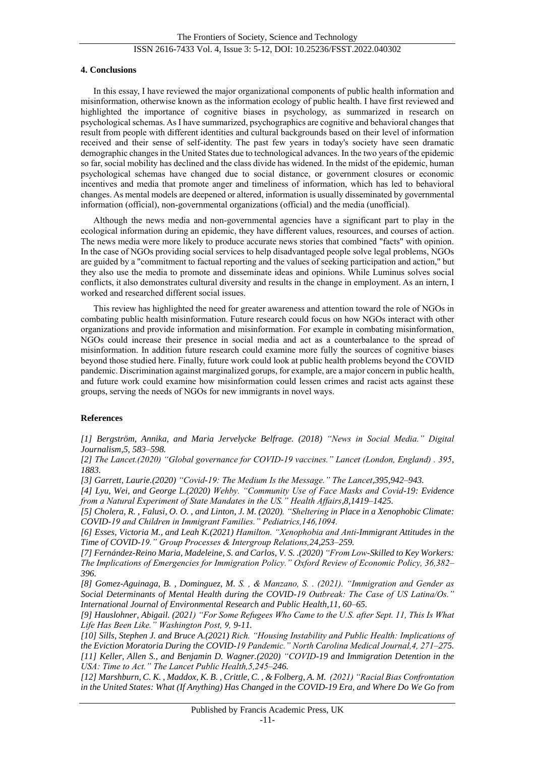#### **4. Conclusions**

In this essay, I have reviewed the major organizational components of public health information and misinformation, otherwise known as the information ecology of public health. I have first reviewed and highlighted the importance of cognitive biases in psychology, as summarized in research on psychological schemas. As I have summarized, psychographics are cognitive and behavioral changes that result from people with different identities and cultural backgrounds based on their level of information received and their sense of self-identity. The past few years in today's society have seen dramatic demographic changes in the United States due to technological advances. In the two years of the epidemic so far, social mobility has declined and the class divide has widened. In the midst of the epidemic, human psychological schemas have changed due to social distance, or government closures or economic incentives and media that promote anger and timeliness of information, which has led to behavioral changes. As mental models are deepened or altered, information is usually disseminated by governmental information (official), non-governmental organizations (official) and the media (unofficial).

Although the news media and non-governmental agencies have a significant part to play in the ecological information during an epidemic, they have different values, resources, and courses of action. The news media were more likely to produce accurate news stories that combined "facts" with opinion. In the case of NGOs providing social services to help disadvantaged people solve legal problems, NGOs are guided by a "commitment to factual reporting and the values of seeking participation and action," but they also use the media to promote and disseminate ideas and opinions. While Luminus solves social conflicts, it also demonstrates cultural diversity and results in the change in employment. As an intern, I worked and researched different social issues.

This review has highlighted the need for greater awareness and attention toward the role of NGOs in combating public health misinformation. Future research could focus on how NGOs interact with other organizations and provide information and misinformation. For example in combating misinformation, NGOs could increase their presence in social media and act as a counterbalance to the spread of misinformation. In addition future research could examine more fully the sources of cognitive biases beyond those studied here. Finally, future work could look at public health problems beyond the COVID pandemic. Discrimination against marginalized gorups, for example, are a major concern in public health, and future work could examine how misinformation could lessen crimes and racist acts against these groups, serving the needs of NGOs for new immigrants in novel ways.

## **References**

*[1] Bergström, Annika, and Maria Jervelycke Belfrage. (2018) "News in Social Media." Digital Journalism,5, 583–598.*

*[2] The Lancet.(2020) "Global governance for COVID-19 vaccines." Lancet (London, England) . 395, 1883.*

*[3] Garrett, Laurie.(2020) "Covid-19: The Medium Is the Message." The Lancet,395,942–943.*

*[4] Lyu, Wei, and George L.(2020) Wehby. "Community Use of Face Masks and Covid-19: Evidence from a Natural Experiment of State Mandates in the US." Health Affairs,8,1419–1425.* 

*[5] Cholera, R. , Falusi, O. O. , and Linton, J. M. (2020). "Sheltering in Place in a Xenophobic Climate: COVID-19 and Children in Immigrant Families." Pediatrics,146,1094.*

*[6] Esses, Victoria M., and Leah K.(2021) Hamilton. "Xenophobia and Anti-Immigrant Attitudes in the Time of COVID-19." Group Processes & Intergroup Relations,24,253–259.*

*[7] Fernández-Reino Maria, Madeleine, S. and Carlos, V. S. .(2020) "From Low-Skilled to Key Workers: The Implications of Emergencies for Immigration Policy." Oxford Review of Economic Policy, 36,382– 396.* 

*[8] Gomez-Aguinaga, B. , Dominguez, M. S. , & Manzano, S. . (2021). "Immigration and Gender as Social Determinants of Mental Health during the COVID-19 Outbreak: The Case of US Latina/Os." International Journal of Environmental Research and Public Health,11, 60–65.*

*[9] Hauslohner, Abigail. (2021) "For Some Refugees Who Came to the U.S. after Sept. 11, This Is What Life Has Been Like." Washington Post, 9, [9-11.](http://www.washingtonpost.com/nation/interactive/2021/iraq-afghanistan-immigrants9-11)*

*[10] Sills, Stephen J. and Bruce A.(2021) Rich. "Housing Instability and Public Health: Implications of the Eviction Moratoria During the COVID-19 Pandemic." North Carolina Medical Journal,4, 271–275. [11] Keller, Allen S., and Benjamin D. Wagner.(2020) "COVID-19 and Immigration Detention in the USA: Time to Act." The Lancet Public Health,5,245–246.*

*[12] Marshburn, C. K. , Maddox, K. B. , Crittle, C. , & Folberg, A. M. (2021) "Racial Bias Confrontation in the United States: What (If Anything) Has Changed in the COVID-19 Era, and Where Do We Go from*